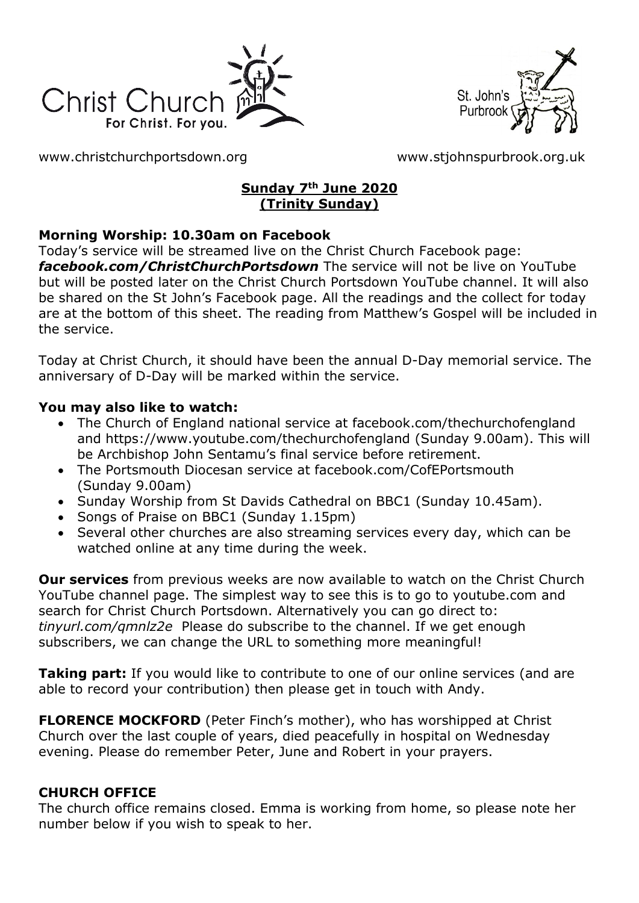



[www.christchurchportsdown.org](http://www.christchurchportsdown.org/) [www.stjohnspurbrook.org.uk](http://www.stjohnspurbrook.org.uk/)

#### **Sunday 7th June 2020 (Trinity Sunday)**

#### **Morning Worship: 10.30am on Facebook**

Today's service will be streamed live on the Christ Church Facebook page: *[facebook.com/ChristChurchPortsdown](http://www.facebook.com/ChristChurchPortsdown%20at%2010.30)* The service will not be live on YouTube but will be posted later on the Christ Church Portsdown YouTube channel. It will also be shared on the St John's Facebook page. All the readings and the collect for today are at the bottom of this sheet. The reading from Matthew's Gospel will be included in the service.

Today at Christ Church, it should have been the annual D-Day memorial service. The anniversary of D-Day will be marked within the service.

#### **You may also like to watch:**

- The Church of England national service at facebook.com/thechurchofengland and https://www.youtube.com/thechurchofengland (Sunday 9.00am). This will be Archbishop John Sentamu's final service before retirement.
- The Portsmouth Diocesan service at facebook.com/CofEPortsmouth (Sunday 9.00am)
- Sunday Worship from St Davids Cathedral on BBC1 (Sunday 10.45am).
- Songs of Praise on BBC1 (Sunday 1.15pm)
- Several other churches are also streaming services every day, which can be watched online at any time during the week.

**Our services** from previous weeks are now available to watch on the Christ Church YouTube channel page. The simplest way to see this is to go to youtube.com and search for Christ Church Portsdown. Alternatively you can go direct to: *tinyurl.com/qmnlz2e* Please do subscribe to the channel. If we get enough subscribers, we can change the URL to something more meaningful!

**Taking part:** If you would like to contribute to one of our online services (and are able to record your contribution) then please get in touch with Andy.

**FLORENCE MOCKFORD** (Peter Finch's mother), who has worshipped at Christ Church over the last couple of years, died peacefully in hospital on Wednesday evening. Please do remember Peter, June and Robert in your prayers.

#### **CHURCH OFFICE**

The church office remains closed. Emma is working from home, so please note her number below if you wish to speak to her.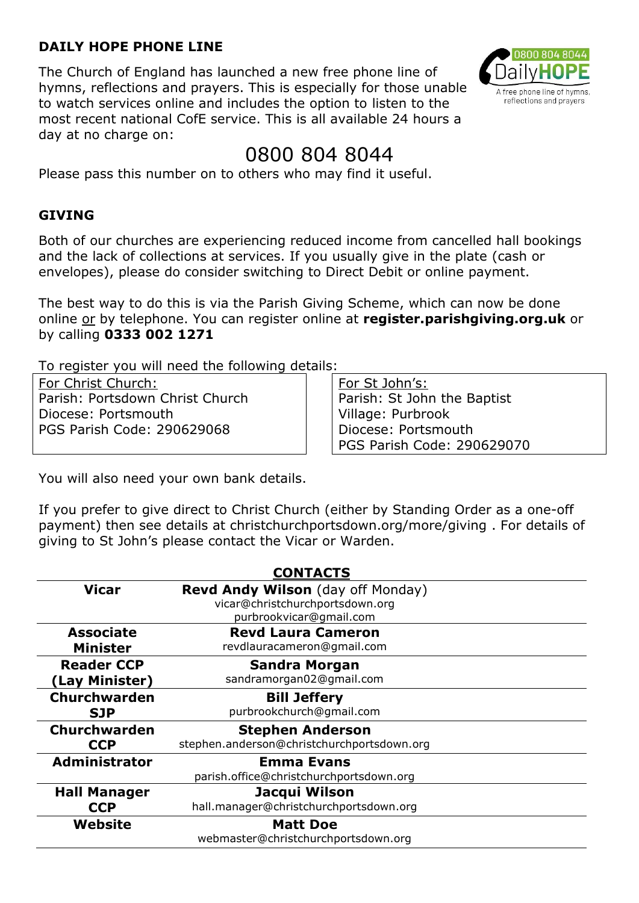#### **DAILY HOPE PHONE LINE**

The Church of England has launched a new free phone line of hymns, reflections and prayers. This is especially for those unable to watch services online and includes the option to listen to the most recent national CofE service. This is all available 24 hours a day at no charge on:



# 0800 804 8044

Please pass this number on to others who may find it useful.

#### **GIVING**

Both of our churches are experiencing reduced income from cancelled hall bookings and the lack of collections at services. If you usually give in the plate (cash or envelopes), please do consider switching to Direct Debit or online payment.

The best way to do this is via the Parish Giving Scheme, which can now be done online or by telephone. You can register online at **register.parishgiving.org.uk** or by calling **0333 002 1271**

To register you will need the following details:

For Christ Church: Parish: Portsdown Christ Church Diocese: Portsmouth PGS Parish Code: 290629068

For St John's: Parish: St John the Baptist Village: Purbrook Diocese: Portsmouth PGS Parish Code: 290629070

You will also need your own bank details.

If you prefer to give direct to Christ Church (either by Standing Order as a one-off payment) then see details at christchurchportsdown.org/more/giving . For details of giving to St John's please contact the Vicar or Warden.

| <b>CONTACTS</b>      |                                                                                                        |
|----------------------|--------------------------------------------------------------------------------------------------------|
| <b>Vicar</b>         | <b>Revd Andy Wilson</b> (day off Monday)<br>vicar@christchurchportsdown.org<br>purbrookvicar@gmail.com |
| <b>Associate</b>     | <b>Revd Laura Cameron</b>                                                                              |
| <b>Minister</b>      | revdlauracameron@gmail.com                                                                             |
| <b>Reader CCP</b>    | <b>Sandra Morgan</b>                                                                                   |
| (Lay Minister)       | sandramorgan02@gmail.com                                                                               |
| Churchwarden         | <b>Bill Jeffery</b>                                                                                    |
| <b>SJP</b>           | purbrookchurch@gmail.com                                                                               |
| Churchwarden         | <b>Stephen Anderson</b>                                                                                |
| <b>CCP</b>           | stephen.anderson@christchurchportsdown.org                                                             |
| <b>Administrator</b> | <b>Emma Evans</b>                                                                                      |
|                      | parish.office@christchurchportsdown.org                                                                |
| <b>Hall Manager</b>  | Jacqui Wilson                                                                                          |
| <b>CCP</b>           | hall.manager@christchurchportsdown.org                                                                 |
| Website              | <b>Matt Doe</b>                                                                                        |
|                      | webmaster@christchurchportsdown.org                                                                    |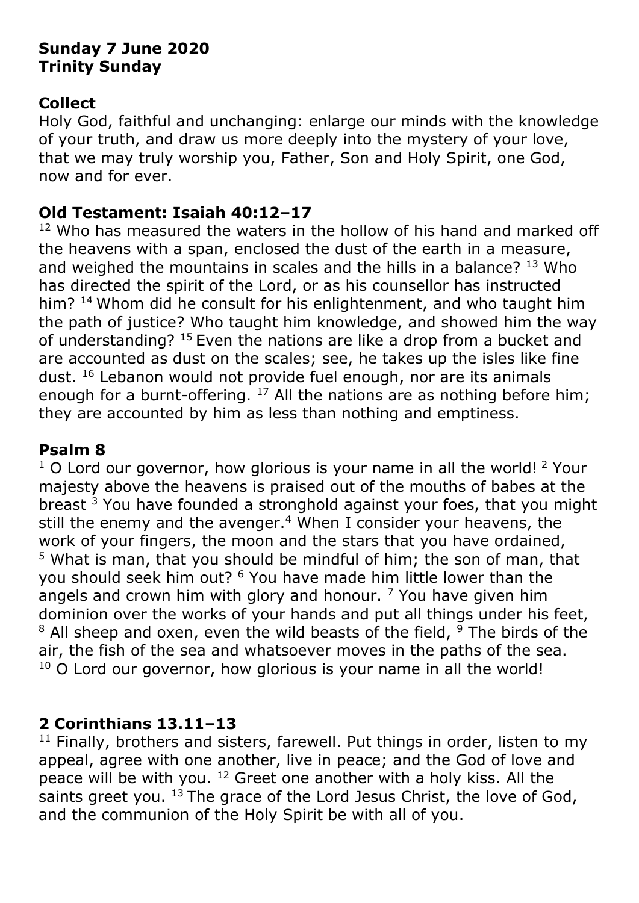# **Sunday 7 June 2020 Trinity Sunday**

## **Collect**

Holy God, faithful and unchanging: enlarge our minds with the knowledge of your truth, and draw us more deeply into the mystery of your love, that we may truly worship you, Father, Son and Holy Spirit, one God, now and for ever.

### **Old Testament: Isaiah 40:12–17**

 $12$  Who has measured the waters in the hollow of his hand and marked off the heavens with a span, enclosed the dust of the earth in a measure, and weighed the mountains in scales and the hills in a balance? <sup>13</sup> Who has directed the spirit of the Lord, or as his counsellor has instructed him? <sup>14</sup> Whom did he consult for his enlightenment, and who taught him the path of justice? Who taught him knowledge, and showed him the way of understanding? <sup>15</sup> Even the nations are like a drop from a bucket and are accounted as dust on the scales; see, he takes up the isles like fine dust.<sup>16</sup> Lebanon would not provide fuel enough, nor are its animals enough for a burnt-offering.  $17$  All the nations are as nothing before him; they are accounted by him as less than nothing and emptiness.

# **Psalm 8**

 $1$  O Lord our governor, how glorious is your name in all the world!  $2$  Your majesty above the heavens is praised out of the mouths of babes at the breast  $3$  You have founded a stronghold against your foes, that you might still the enemy and the avenger.<sup>4</sup> When I consider your heavens, the work of your fingers, the moon and the stars that you have ordained,  $5$  What is man, that you should be mindful of him; the son of man, that you should seek him out? <sup>6</sup> You have made him little lower than the angels and crown him with glory and honour.  $<sup>7</sup>$  You have given him</sup> dominion over the works of your hands and put all things under his feet,  $8$  All sheep and oxen, even the wild beasts of the field,  $9$  The birds of the air, the fish of the sea and whatsoever moves in the paths of the sea.  $10$  O Lord our governor, how glorious is your name in all the world!

# **2 Corinthians 13.11–13**

 $11$  Finally, brothers and sisters, farewell. Put things in order, listen to my appeal, agree with one another, live in peace; and the God of love and peace will be with you. <sup>12</sup> Greet one another with a holy kiss. All the saints greet you.  $13$  The grace of the Lord Jesus Christ, the love of God, and the communion of the Holy Spirit be with all of you.